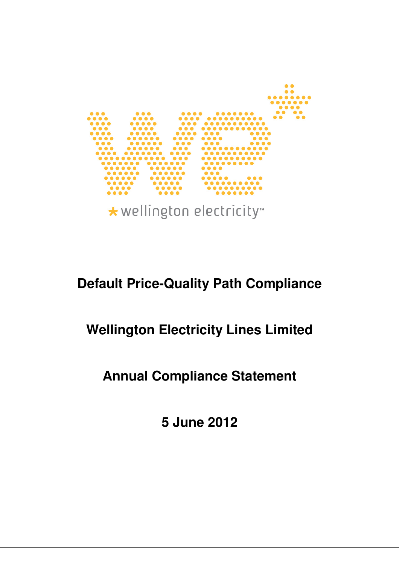

\* wellington electricity

# **Default Price-Quality Path Compliance**

# **Wellington Electricity Lines Limited**

# **Annual Compliance Statement**

**5 June 2012**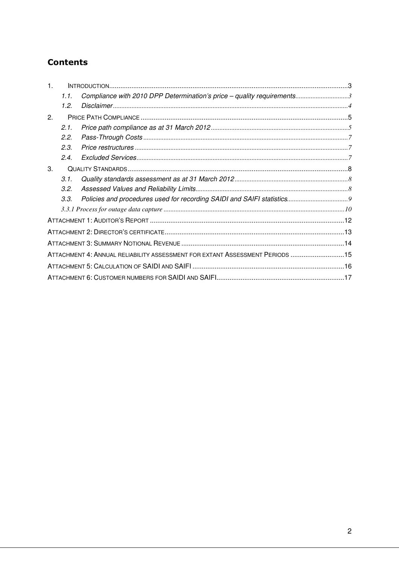# **Contents**

| $\mathbf 1$ . |      |                                                                              |  |
|---------------|------|------------------------------------------------------------------------------|--|
|               | 1.1. | Compliance with 2010 DPP Determination's price - quality requirements3       |  |
|               | 1.2. |                                                                              |  |
| 2.            |      |                                                                              |  |
|               | 2.1. |                                                                              |  |
|               | 2.2. |                                                                              |  |
|               | 2.3. |                                                                              |  |
|               | 2.4. |                                                                              |  |
| 3.            |      |                                                                              |  |
|               | 3.1. |                                                                              |  |
|               | 3.2. |                                                                              |  |
|               | 3.3. |                                                                              |  |
|               |      |                                                                              |  |
|               |      |                                                                              |  |
|               |      |                                                                              |  |
|               |      |                                                                              |  |
|               |      | ATTACHMENT 4: ANNUAL RELIABILITY ASSESSMENT FOR EXTANT ASSESSMENT PERIODS 15 |  |
|               |      |                                                                              |  |
|               |      |                                                                              |  |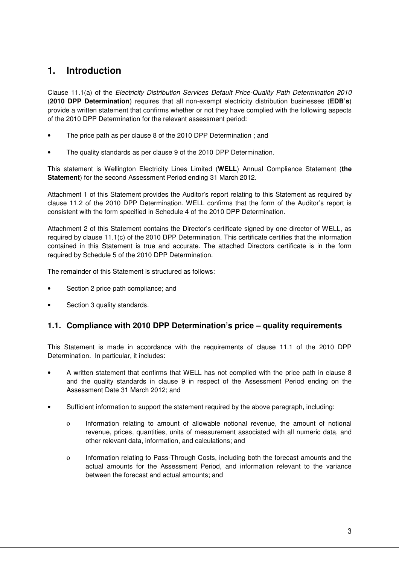# **1. Introduction**

Clause 11.1(a) of the Electricity Distribution Services Default Price-Quality Path Determination 2010 (**2010 DPP Determination**) requires that all non-exempt electricity distribution businesses (**EDB's**) provide a written statement that confirms whether or not they have complied with the following aspects of the 2010 DPP Determination for the relevant assessment period:

- The price path as per clause 8 of the 2010 DPP Determination ; and
- The quality standards as per clause 9 of the 2010 DPP Determination.

This statement is Wellington Electricity Lines Limited (**WELL**) Annual Compliance Statement (**the Statement**) for the second Assessment Period ending 31 March 2012.

Attachment 1 of this Statement provides the Auditor's report relating to this Statement as required by clause 11.2 of the 2010 DPP Determination. WELL confirms that the form of the Auditor's report is consistent with the form specified in Schedule 4 of the 2010 DPP Determination.

Attachment 2 of this Statement contains the Director's certificate signed by one director of WELL, as required by clause 11.1(c) of the 2010 DPP Determination. This certificate certifies that the information contained in this Statement is true and accurate. The attached Directors certificate is in the form required by Schedule 5 of the 2010 DPP Determination.

The remainder of this Statement is structured as follows:

- Section 2 price path compliance; and
- Section 3 quality standards.

## **1.1. Compliance with 2010 DPP Determination's price – quality requirements**

This Statement is made in accordance with the requirements of clause 11.1 of the 2010 DPP Determination. In particular, it includes:

- A written statement that confirms that WELL has not complied with the price path in clause 8 and the quality standards in clause 9 in respect of the Assessment Period ending on the Assessment Date 31 March 2012; and
- Sufficient information to support the statement required by the above paragraph, including:
	- ο Information relating to amount of allowable notional revenue, the amount of notional revenue, prices, quantities, units of measurement associated with all numeric data, and other relevant data, information, and calculations; and
	- ο Information relating to Pass-Through Costs, including both the forecast amounts and the actual amounts for the Assessment Period, and information relevant to the variance between the forecast and actual amounts; and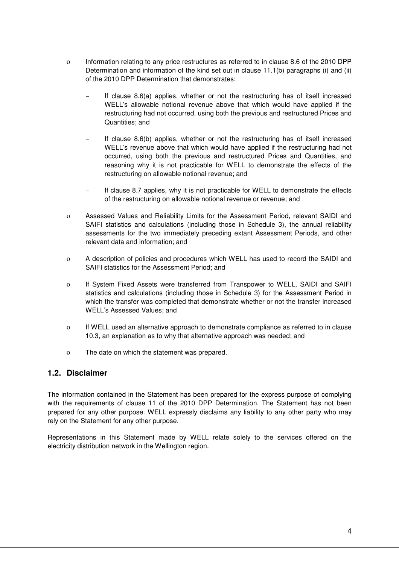- ο Information relating to any price restructures as referred to in clause 8.6 of the 2010 DPP Determination and information of the kind set out in clause 11.1(b) paragraphs (i) and (ii) of the 2010 DPP Determination that demonstrates:
	- If clause  $8.6(a)$  applies, whether or not the restructuring has of itself increased WELL's allowable notional revenue above that which would have applied if the restructuring had not occurred, using both the previous and restructured Prices and Quantities; and
	- If clause 8.6(b) applies, whether or not the restructuring has of itself increased WELL's revenue above that which would have applied if the restructuring had not occurred, using both the previous and restructured Prices and Quantities, and reasoning why it is not practicable for WELL to demonstrate the effects of the restructuring on allowable notional revenue; and
	- If clause 8.7 applies, why it is not practicable for WELL to demonstrate the effects of the restructuring on allowable notional revenue or revenue; and
- ο Assessed Values and Reliability Limits for the Assessment Period, relevant SAIDI and SAIFI statistics and calculations (including those in Schedule 3), the annual reliability assessments for the two immediately preceding extant Assessment Periods, and other relevant data and information; and
- ο A description of policies and procedures which WELL has used to record the SAIDI and SAIFI statistics for the Assessment Period; and
- ο If System Fixed Assets were transferred from Transpower to WELL, SAIDI and SAIFI statistics and calculations (including those in Schedule 3) for the Assessment Period in which the transfer was completed that demonstrate whether or not the transfer increased WELL's Assessed Values; and
- ο If WELL used an alternative approach to demonstrate compliance as referred to in clause 10.3, an explanation as to why that alternative approach was needed; and
- ο The date on which the statement was prepared.

### **1.2. Disclaimer**

The information contained in the Statement has been prepared for the express purpose of complying with the requirements of clause 11 of the 2010 DPP Determination. The Statement has not been prepared for any other purpose. WELL expressly disclaims any liability to any other party who may rely on the Statement for any other purpose.

Representations in this Statement made by WELL relate solely to the services offered on the electricity distribution network in the Wellington region.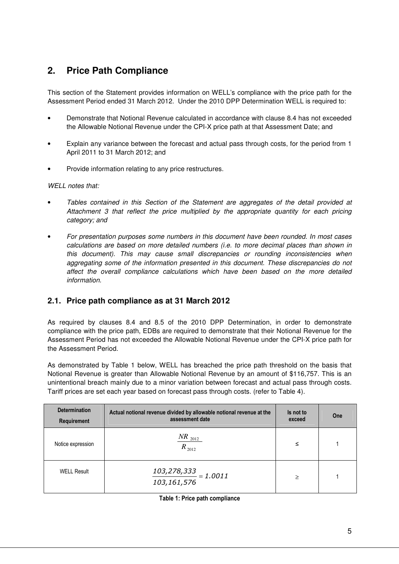# **2. Price Path Compliance**

This section of the Statement provides information on WELL's compliance with the price path for the Assessment Period ended 31 March 2012. Under the 2010 DPP Determination WELL is required to:

- Demonstrate that Notional Revenue calculated in accordance with clause 8.4 has not exceeded the Allowable Notional Revenue under the CPI-X price path at that Assessment Date; and
- Explain any variance between the forecast and actual pass through costs, for the period from 1 April 2011 to 31 March 2012; and
- Provide information relating to any price restructures.

#### WELL notes that:

- Tables contained in this Section of the Statement are aggregates of the detail provided at Attachment 3 that reflect the price multiplied by the appropriate quantity for each pricing category; and
- For presentation purposes some numbers in this document have been rounded. In most cases calculations are based on more detailed numbers (i.e. to more decimal places than shown in this document). This may cause small discrepancies or rounding inconsistencies when aggregating some of the information presented in this document. These discrepancies do not affect the overall compliance calculations which have been based on the more detailed information.

### **2.1. Price path compliance as at 31 March 2012**

As required by clauses 8.4 and 8.5 of the 2010 DPP Determination, in order to demonstrate compliance with the price path, EDBs are required to demonstrate that their Notional Revenue for the Assessment Period has not exceeded the Allowable Notional Revenue under the CPI-X price path for the Assessment Period.

As demonstrated by Table 1 below, WELL has breached the price path threshold on the basis that Notional Revenue is greater than Allowable Notional Revenue by an amount of \$116,757. This is an unintentional breach mainly due to a minor variation between forecast and actual pass through costs. Tariff prices are set each year based on forecast pass through costs. (refer to Table 4).

| <b>Determination</b><br><b>Requirement</b> | Actual notional revenue divided by allowable notional revenue at the<br>assessment date | Is not to<br>exceed | One |
|--------------------------------------------|-----------------------------------------------------------------------------------------|---------------------|-----|
| Notice expression                          | $\frac{NR_{2012}}{2012}$<br>$R_{2012}$                                                  | ≤                   |     |
| <b>WELL Result</b>                         | $\frac{103,278,333}{2}$ = 1.0011<br>103,161,576                                         | ≥                   |     |

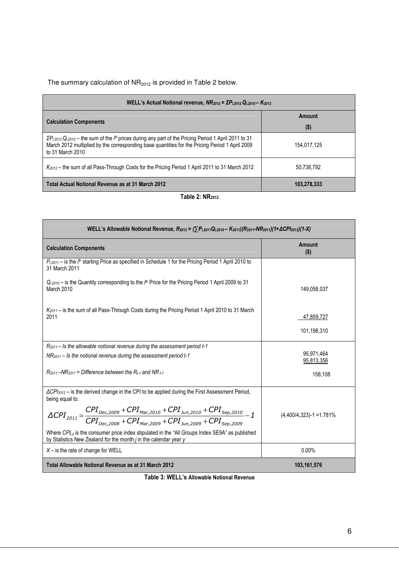The summary calculation of  $NR<sub>2012</sub>$  is provided in Table 2 below.

| WELL's Actual Notional revenue, $NR_{2012} = \Sigma P_{1,2012} Q_{1,2010} - K_{2012}$                                                                                                                                                     |                   |  |  |  |
|-------------------------------------------------------------------------------------------------------------------------------------------------------------------------------------------------------------------------------------------|-------------------|--|--|--|
| <b>Calculation Components</b>                                                                                                                                                                                                             | Amount<br>$($ \$) |  |  |  |
| $\sum P_{i,2012} Q_{i,2010}$ – the sum of the $ith$ prices during any part of the Pricing Period 1 April 2011 to 31<br>March 2012 multiplied by the corresponding base quantities for the Pricing Period 1 April 2009<br>to 31 March 2010 | 154,017,125       |  |  |  |
| K <sub>2012</sub> – the sum of all Pass-Through Costs for the Pricing Period 1 April 2011 to 31 March 2012                                                                                                                                | 50,738,792        |  |  |  |
| Total Actual Notional Revenue as at 31 March 2012                                                                                                                                                                                         | 103.278.333       |  |  |  |

#### Table 2: NR<sub>2012</sub>

| WELL's Allowable Notional Revenue, $R_{2012} = (\sum P_{i,2011}Q_{i,2010} - K_{2011})(R_{2011} - NR_{2011})(1+\Delta CPI_{2012})(1-X)$                                          |                              |  |  |  |
|---------------------------------------------------------------------------------------------------------------------------------------------------------------------------------|------------------------------|--|--|--|
| <b>Calculation Components</b>                                                                                                                                                   | Amount<br>$($ \$)            |  |  |  |
| $P_{i,2011}$ – is the $ith$ starting Price as specified in Schedule 1 for the Pricing Period 1 April 2010 to<br>31 March 2011                                                   |                              |  |  |  |
| $Q_{i,2010}$ – is the Quantity corresponding to the $ith$ Price for the Pricing Period 1 April 2009 to 31<br>March 2010                                                         | 149,058,037                  |  |  |  |
| $K_{2011}$ – is the sum of all Pass-Through Costs during the Pricing Period 1 April 2010 to 31 March<br>2011                                                                    | 47,859,727                   |  |  |  |
|                                                                                                                                                                                 | 101,198,310                  |  |  |  |
| $R_{2011}$ – Is the allowable notional revenue during the assessment period t-1                                                                                                 |                              |  |  |  |
| $NR_{2011}$ – Is the notional revenue during the assessment period t-1                                                                                                          | 95.971.464<br>95,813,356     |  |  |  |
| $R_{2011}$ –N $R_{2011}$ = Difference between the $R_{t-1}$ and NR $_{t-1}$                                                                                                     | 158,108                      |  |  |  |
| $\Delta CP$ <sub>2012</sub> – is the derived change in the CPI to be applied during the First Assessment Period,<br>being equal to:                                             |                              |  |  |  |
| $\Delta CPI_{2011} = \frac{CPI_{Dec, 2009} + CPI_{Mar, 2010} + CPI_{Jun, 2010} + CPI_{Sep, 2010}}{CPI_{Dec, 2008} + CPI_{Mar, 2009} + CPI_{Jun, 2009} + CPI_{Sep, 2009}} - 1$   | $(4,400/4,323) - 1 = 1.781%$ |  |  |  |
|                                                                                                                                                                                 |                              |  |  |  |
| Where $CPI_{i,v}$ is the consumer price index stipulated in the "All Groups Index SE9A" as published<br>by Statistics New Zealand for the month <i>j</i> in the calendar year y |                              |  |  |  |
| $X$ – is the rate of change for WELL                                                                                                                                            | $0.00\%$                     |  |  |  |
| Total Allowable Notional Revenue as at 31 March 2012                                                                                                                            | 103,161,576                  |  |  |  |

Table 3: WELL's Allowable Notional Revenue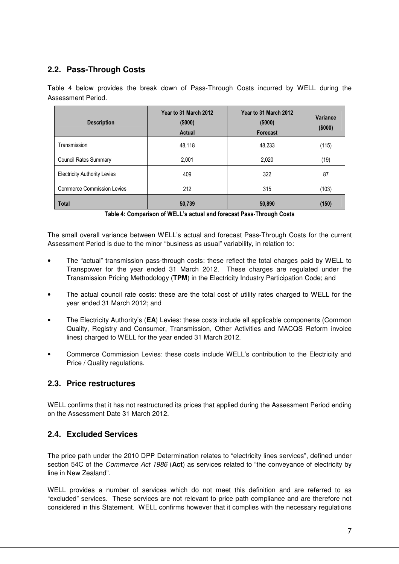## **2.2. Pass-Through Costs**

Table 4 below provides the break down of Pass-Through Costs incurred by WELL during the Assessment Period.

| <b>Description</b>                  | Year to 31 March 2012<br>(\$000)<br>Actual | Year to 31 March 2012<br>(\$000)<br>Forecast | Variance<br>(\$000) |
|-------------------------------------|--------------------------------------------|----------------------------------------------|---------------------|
| Transmission                        | 48,118                                     | 48,233                                       | (115)               |
| <b>Council Rates Summary</b>        | 2,001                                      | 2,020                                        | (19)                |
| <b>Electricity Authority Levies</b> | 409                                        | 322                                          | 87                  |
| <b>Commerce Commission Levies</b>   | 212                                        | 315                                          | (103)               |
| <b>Total</b>                        | 50,739                                     | 50,890                                       | (150)               |

Table 4: Comparison of WELL's actual and forecast Pass-Through Costs

The small overall variance between WELL's actual and forecast Pass-Through Costs for the current Assessment Period is due to the minor "business as usual" variability, in relation to:

- The "actual" transmission pass-through costs: these reflect the total charges paid by WELL to Transpower for the year ended 31 March 2012. These charges are regulated under the Transmission Pricing Methodology (**TPM**) in the Electricity Industry Participation Code; and
- The actual council rate costs: these are the total cost of utility rates charged to WELL for the year ended 31 March 2012; and
- The Electricity Authority's (**EA**) Levies: these costs include all applicable components (Common Quality, Registry and Consumer, Transmission, Other Activities and MACQS Reform invoice lines) charged to WELL for the year ended 31 March 2012.
- Commerce Commission Levies: these costs include WELL's contribution to the Electricity and Price / Quality regulations.

## **2.3. Price restructures**

WELL confirms that it has not restructured its prices that applied during the Assessment Period ending on the Assessment Date 31 March 2012.

### **2.4. Excluded Services**

The price path under the 2010 DPP Determination relates to "electricity lines services", defined under section 54C of the Commerce Act 1986 (**Act**) as services related to "the conveyance of electricity by line in New Zealand".

WELL provides a number of services which do not meet this definition and are referred to as "excluded" services. These services are not relevant to price path compliance and are therefore not considered in this Statement. WELL confirms however that it complies with the necessary regulations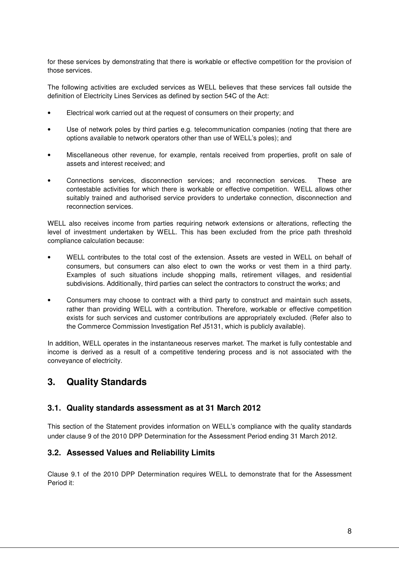for these services by demonstrating that there is workable or effective competition for the provision of those services.

The following activities are excluded services as WELL believes that these services fall outside the definition of Electricity Lines Services as defined by section 54C of the Act:

- Electrical work carried out at the request of consumers on their property; and
- Use of network poles by third parties e.g. telecommunication companies (noting that there are options available to network operators other than use of WELL's poles); and
- Miscellaneous other revenue, for example, rentals received from properties, profit on sale of assets and interest received; and
- Connections services, disconnection services; and reconnection services. These are contestable activities for which there is workable or effective competition. WELL allows other suitably trained and authorised service providers to undertake connection, disconnection and reconnection services.

WELL also receives income from parties requiring network extensions or alterations, reflecting the level of investment undertaken by WELL. This has been excluded from the price path threshold compliance calculation because:

- WELL contributes to the total cost of the extension. Assets are vested in WELL on behalf of consumers, but consumers can also elect to own the works or vest them in a third party. Examples of such situations include shopping malls, retirement villages, and residential subdivisions. Additionally, third parties can select the contractors to construct the works; and
- Consumers may choose to contract with a third party to construct and maintain such assets, rather than providing WELL with a contribution. Therefore, workable or effective competition exists for such services and customer contributions are appropriately excluded. (Refer also to the Commerce Commission Investigation Ref J5131, which is publicly available).

In addition, WELL operates in the instantaneous reserves market. The market is fully contestable and income is derived as a result of a competitive tendering process and is not associated with the conveyance of electricity.

# **3. Quality Standards**

### **3.1. Quality standards assessment as at 31 March 2012**

This section of the Statement provides information on WELL's compliance with the quality standards under clause 9 of the 2010 DPP Determination for the Assessment Period ending 31 March 2012.

### **3.2. Assessed Values and Reliability Limits**

Clause 9.1 of the 2010 DPP Determination requires WELL to demonstrate that for the Assessment Period it: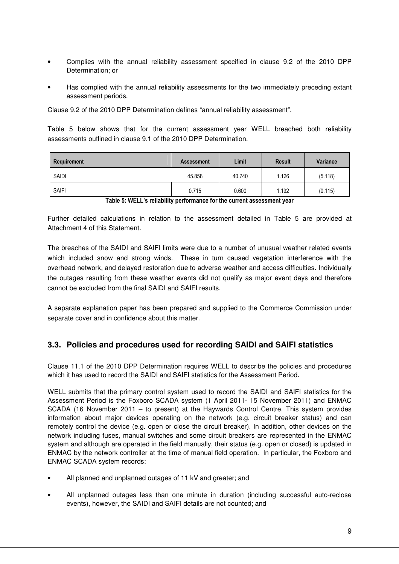- Complies with the annual reliability assessment specified in clause 9.2 of the 2010 DPP Determination; or
- Has complied with the annual reliability assessments for the two immediately preceding extant assessment periods.

Clause 9.2 of the 2010 DPP Determination defines "annual reliability assessment".

Table 5 below shows that for the current assessment year WELL breached both reliability assessments outlined in clause 9.1 of the 2010 DPP Determination.

| Requirement  | <b>Assessment</b> | Limit  | <b>Result</b> | <b>Variance</b> |
|--------------|-------------------|--------|---------------|-----------------|
| <b>SAIDI</b> | 45.858            | 40.740 | 1.126         | (5.118)         |
| <b>SAIFI</b> | 0.715             | 0.600  | 1.192         | (0.115)         |

Table 5: WELL's reliability performance for the current assessment year

Further detailed calculations in relation to the assessment detailed in Table 5 are provided at Attachment 4 of this Statement.

The breaches of the SAIDI and SAIFI limits were due to a number of unusual weather related events which included snow and strong winds. These in turn caused vegetation interference with the overhead network, and delayed restoration due to adverse weather and access difficulties. Individually the outages resulting from these weather events did not qualify as major event days and therefore cannot be excluded from the final SAIDI and SAIFI results.

A separate explanation paper has been prepared and supplied to the Commerce Commission under separate cover and in confidence about this matter.

### **3.3. Policies and procedures used for recording SAIDI and SAIFI statistics**

Clause 11.1 of the 2010 DPP Determination requires WELL to describe the policies and procedures which it has used to record the SAIDI and SAIFI statistics for the Assessment Period.

WELL submits that the primary control system used to record the SAIDI and SAIFI statistics for the Assessment Period is the Foxboro SCADA system (1 April 2011- 15 November 2011) and ENMAC SCADA (16 November 2011 – to present) at the Haywards Control Centre. This system provides information about major devices operating on the network (e.g. circuit breaker status) and can remotely control the device (e.g. open or close the circuit breaker). In addition, other devices on the network including fuses, manual switches and some circuit breakers are represented in the ENMAC system and although are operated in the field manually, their status (e.g. open or closed) is updated in ENMAC by the network controller at the time of manual field operation. In particular, the Foxboro and ENMAC SCADA system records:

- All planned and unplanned outages of 11 kV and greater; and
- All unplanned outages less than one minute in duration (including successful auto-reclose events), however, the SAIDI and SAIFI details are not counted; and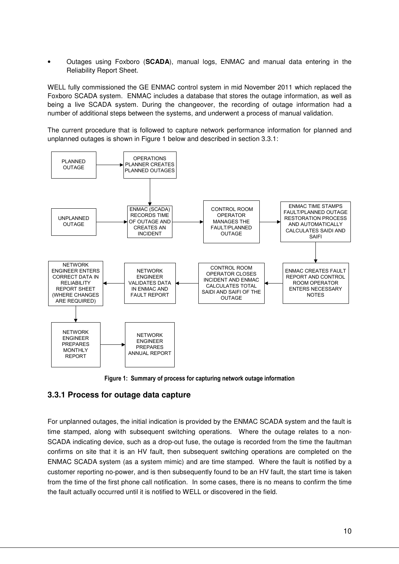• Outages using Foxboro (**SCADA**), manual logs, ENMAC and manual data entering in the Reliability Report Sheet.

WELL fully commissioned the GE ENMAC control system in mid November 2011 which replaced the Foxboro SCADA system. ENMAC includes a database that stores the outage information, as well as being a live SCADA system. During the changeover, the recording of outage information had a number of additional steps between the systems, and underwent a process of manual validation.

The current procedure that is followed to capture network performance information for planned and unplanned outages is shown in Figure 1 below and described in section 3.3.1:



Figure 1: Summary of process for capturing network outage information

### **3.3.1 Process for outage data capture**

For unplanned outages, the initial indication is provided by the ENMAC SCADA system and the fault is time stamped, along with subsequent switching operations. Where the outage relates to a non-SCADA indicating device, such as a drop-out fuse, the outage is recorded from the time the faultman confirms on site that it is an HV fault, then subsequent switching operations are completed on the ENMAC SCADA system (as a system mimic) and are time stamped. Where the fault is notified by a customer reporting no-power, and is then subsequently found to be an HV fault, the start time is taken from the time of the first phone call notification. In some cases, there is no means to confirm the time the fault actually occurred until it is notified to WELL or discovered in the field.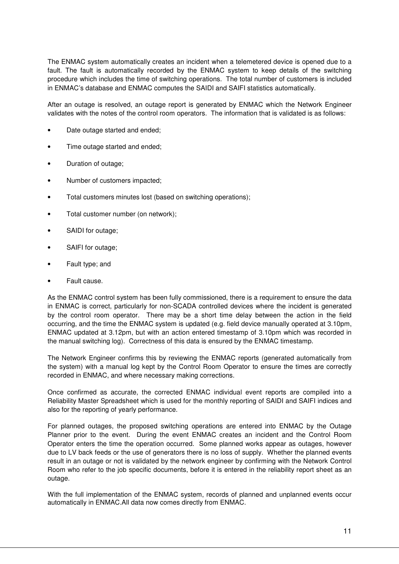The ENMAC system automatically creates an incident when a telemetered device is opened due to a fault. The fault is automatically recorded by the ENMAC system to keep details of the switching procedure which includes the time of switching operations. The total number of customers is included in ENMAC's database and ENMAC computes the SAIDI and SAIFI statistics automatically.

After an outage is resolved, an outage report is generated by ENMAC which the Network Engineer validates with the notes of the control room operators. The information that is validated is as follows:

- Date outage started and ended;
- Time outage started and ended;
- Duration of outage;
- Number of customers impacted;
- Total customers minutes lost (based on switching operations);
- Total customer number (on network);
- SAIDI for outage;
- SAIFI for outage;
- Fault type; and
- Fault cause.

As the ENMAC control system has been fully commissioned, there is a requirement to ensure the data in ENMAC is correct, particularly for non-SCADA controlled devices where the incident is generated by the control room operator. There may be a short time delay between the action in the field occurring, and the time the ENMAC system is updated (e.g. field device manually operated at 3.10pm, ENMAC updated at 3.12pm, but with an action entered timestamp of 3.10pm which was recorded in the manual switching log). Correctness of this data is ensured by the ENMAC timestamp.

The Network Engineer confirms this by reviewing the ENMAC reports (generated automatically from the system) with a manual log kept by the Control Room Operator to ensure the times are correctly recorded in ENMAC, and where necessary making corrections.

Once confirmed as accurate, the corrected ENMAC individual event reports are compiled into a Reliability Master Spreadsheet which is used for the monthly reporting of SAIDI and SAIFI indices and also for the reporting of yearly performance.

For planned outages, the proposed switching operations are entered into ENMAC by the Outage Planner prior to the event. During the event ENMAC creates an incident and the Control Room Operator enters the time the operation occurred. Some planned works appear as outages, however due to LV back feeds or the use of generators there is no loss of supply. Whether the planned events result in an outage or not is validated by the network engineer by confirming with the Network Control Room who refer to the job specific documents, before it is entered in the reliability report sheet as an outage.

With the full implementation of the ENMAC system, records of planned and unplanned events occur automatically in ENMAC.All data now comes directly from ENMAC.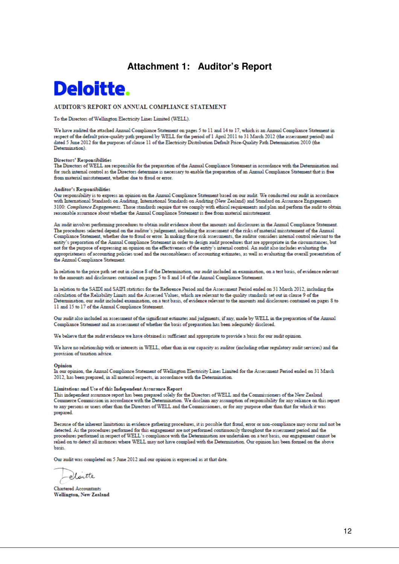## **Attachment 1: Auditor's Report**

# **Deloitte.**

#### AUDITOR'S REPORT ON ANNUAL COMPLIANCE STATEMENT

To the Directors of Wellington Electricity Lines Limited (WELL).

We have audited the attached Annual Compliance Statement on pages 5 to 11 and 14 to 17, which is an Annual Compliance Statement in respect of the default price-quality path prepared by WELL for the period of 1 April 2011 to 31 March 2012 (the assessment period) and dated 5 June 2012 for the purposes of clause 11 of the Electricity Distribution Default Price-Quality Path Determination 2010 (the Determination).

#### **Directors' Responsibilities**

The Directors of WELL are responsible for the preparation of the Annual Compliance Statement in accordance with the Determination and for such internal control as the Directors determine is necessary to enable the preparation of an Annual Compliance Statement that is free from material misstatement, whether due to fraud or error

#### Anditor's Responsibilities

Our responsibility is to express an opinion on the Annual Compliance Statement based on our audit. We conducted our audit in accordance with International Standards on Auditing, International Standards on Auditing (New Zealand) and Standard on Assurance Engagements 3100: Compliance Engagements. Those standards require that we comply with ethical requirements and plan and perform the audit to obtain reasonable assurance about whether the Annual Compliance Statement is free from material misstatement.

An audit involves performing procedures to obtain audit evidence about the amounts and disclosures in the Annual Compliance Statement. The procedures selected depend on the auditor's judgement, including the assessment of the risks of material misstatement of the Annual Compliance Statement, whether due to fraud or error. In making those risk assessments, the auditor considers internal control relevant to the entity's preparation of the Annual Compliance Statement in order to design audit procedures that are appropriate in the circumstances, but not for the purpose of expressing an opinion on the effectiveness of the entity's internal control. An audit also includes evaluating the appropriateness of accounting policies used and the reasonableness of accounting estimates, as well as evaluating the overall presentation of the Annual Compliance Statement.

In relation to the price path set out in clause 8 of the Determination, our audit included an examination, on a test basis, of evidence relevant to the amounts and disclosures contained on pages 5 to 8 and 14 of the Annual Compliance Statement.

In relation to the SAIDI and SAIFI statistics for the Reference Period and the Assessment Period ended on 31 March 2012, including the calculation of the Reliability Limits and the Assessed Values, which are relevant to the quality standards set out in clause 9 of the Determination, our audit included examination, on a test basis, of evidence relevant to the amounts and disclosures contained on pages 8 to 11 and 15 to 17 of the Annual Compliance Statement.

Our audit also included an assessment of the significant estimates and judgments, if any, made by WELL in the preparation of the Annual Compliance Statement and an assessment of whether the basis of preparation has been adequately disclosed.

We believe that the audit evidence we have obtained is sufficient and appropriate to provide a basis for our audit opinion.

We have no relationship with or interests in WELL, other than in our capacity as auditor (including other regulatory audit services) and the provision of taxation advice.

#### Opinion

In our opinion, the Annual Compliance Statement of Wellington Electricity Lines Limited for the Assessment Period ended on 31 March 2012, has been prepared, in all material respects, in accordance with the Determination.

#### Limitations and Use of this Independent Assurance Report

This independent assurance report has been prepared solely for the Directors of WELL and the Commissioners of the New Zealand Commerce Commission in accordance with the Determination. We disclaim any assumption of responsibility for any reliance on this report to any persons or users other than the Directors of WELL and the Commissioners, or for any purpose other than that for which it was prepared.

Because of the inherent limitations in evidence gathering procedures, it is possible that fraud, error or non-compliance may occur and not be detected. As the procedures performed for this engagement are not performed continuously throughout the assessment period and the procedures performed in respect of WELL's compliance with the Determination are undertaken on a test basis, our engagement cannot be relied on to detect all instances where WELL may not have complied with the Determination. Our opinion has been formed on the above hasis

Our audit was completed on 5 June 2012 and our opinion is expressed as at that date.

-elaitte

**Chartered Accountants Wellington, New Zealand**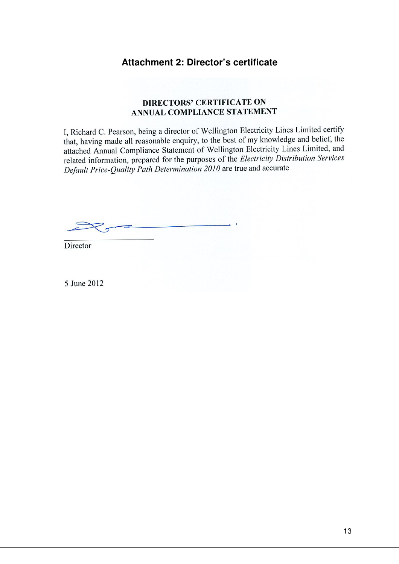## **Attachment 2: Director's certificate**

### **DIRECTORS' CERTIFICATE ON** ANNUAL COMPLIANCE STATEMENT

I, Richard C. Pearson, being a director of Wellington Electricity Lines Limited certify that, having made all reasonable enquiry, to the best of my knowledge and belief, the attached Annual Compliance Statement of Wellington Electricity Lines Limited, and related information, prepared for the purposes of the *Electricity Distribution Services* Default Price-Quality Path Determination 2010 are true and accurate

Director

5 June 2012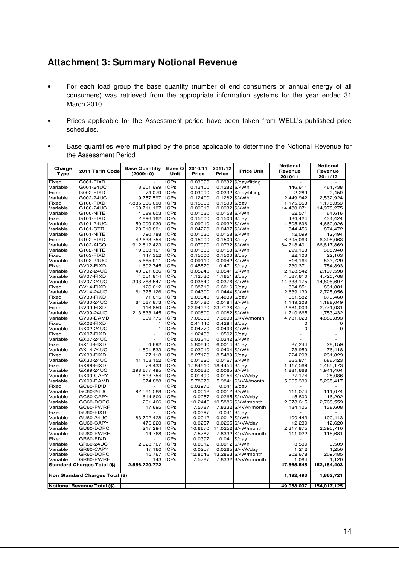# **Attachment 3: Summary Notional Revenue**

- For each load group the base quantity (number of end consumers or annual energy of all consumers) was retrieved from the appropriate information systems for the year ended 31 March 2010.
- Prices applicable for the Assessment period have been taken from WELL's published price schedules.
- Base quantities were multiplied by the price applicable to determine the Notional Revenue for the Assessment Period

| Charge<br><b>Type</b> | 2011 Tariff Code                   | <b>Base Quantitiy</b><br>(2009/10) | Base Q<br>Unit      | 2010/11<br>Price    | 2011/12<br>Price                 | <b>Price Unit</b>       | <b>Notional</b><br>Revenue<br>2010/11 | <b>Notional</b><br>Revenue<br>2011/12 |
|-----------------------|------------------------------------|------------------------------------|---------------------|---------------------|----------------------------------|-------------------------|---------------------------------------|---------------------------------------|
| Fixed                 | G001-FIXD                          |                                    | <b>ICPs</b>         | 0.03090             |                                  | $0.0332$ \$/day/fitting |                                       |                                       |
| Variable              | G001-24UC                          | 3,601,699                          | <b>ICPs</b>         | 0.12400             | 0.1282                           | \$/kWh                  | 446,611                               | 461,738                               |
| Fixed                 | G002-FIXD                          | 74,079                             | <b>ICPs</b>         | 0.03090             |                                  | 0.0332 \$/day/fitting   | 2,289                                 | 2,459                                 |
| Variable              | G002-24UC                          | 19,757,597                         | <b>ICPs</b>         | 0.12400             |                                  | 0.1282 \$/kWh           | 2,449,942                             | 2,532,924                             |
| Fixed                 | G100-FIXD                          | 7,835,686.000                      | <b>ICPs</b>         | 0.15000             | $0.1500$ \$/day                  |                         | 1,175,353                             | 1,175,353                             |
| Variable              | G100-24UC                          | 160,711,107                        | <b>ICPs</b>         | 0.09010             |                                  | 0.0932 \$/kWh           | 14,480,071                            | 14,978,275                            |
| Variable              | G100-NITE                          | 4,089,603                          | <b>ICPs</b>         | 0.01530             |                                  | 0.0158 \$/kWh           | 62,571                                | 64,616                                |
| Fixed                 | G101-FIXD                          | 2,896,162                          | <b>ICPs</b>         | 0.15000             | $0.1500$ \$/day                  |                         | 434,424                               | 434,424                               |
| Variable              | G101-24UC                          | 50,009,939                         | <b>ICPs</b>         | 0.09010             |                                  | 0.0932 \$/kWh           | 4,505,896                             | 4,660,926                             |
| Variable              | G101-CTRL                          | 20,010,801                         | <b>ICPs</b>         | 0.04220             |                                  | 0.0437 \$/kWh           | 844,456                               | 874,472                               |
| Variable              | G101-NITE                          | 790,788                            | <b>ICPs</b>         | 0.01530             |                                  | 0.0158 \$/kWh           | 12,099                                | 12.494                                |
| Fixed                 | G102-FIXD                          | 42,633,754                         | <b>ICPs</b>         | 0.15000             | $0.1500$ \$/day                  |                         | 6,395,063                             | 6,395,063                             |
| Variable              | G102-AICO                          | 912,812,423                        | <b>ICPs</b>         | 0.07090             |                                  | 0.0732 \$/kWh           | 64,718,401                            | 66,817,869                            |
| Variable              | G102-NITE                          | 19,553,161                         | <b>ICPs</b>         | 0.01530             |                                  | 0.0158 \$/kWh           | 299,163                               | 308,940                               |
| Fixed                 | G103-FIXD                          | 147,352                            | <b>ICPs</b>         | 0.15000             | $0.1500$ \$/day                  |                         | 22,103                                | 22,103                                |
| Variable              | G103-24UC                          | 5,665,911                          | <b>ICPs</b>         | 0.09110             | 0.0942                           | \$/kWh                  | 516,164                               | 533,729                               |
| Fixed                 | GV02-FIXD                          | 1,602,745                          | <b>ICPs</b>         | 0.45570             | 0.471                            | $\frac{4}{3}$ /day      | 730,371                               | 754,893                               |
| Variable              | GV02-24UC                          | 40,621,036                         | <b>ICPs</b>         | 0.05240             | 0.0541 \$/kWh                    |                         | 2,128,542                             | 2,197,598                             |
| Variable              | GV07-FIXD                          | 4,051,814                          | <b>ICPs</b>         | 1.12730             | 1.1651 $ $ \$/day                |                         | 4,567,610                             | 4,720,768                             |
| Variable              | GV07-24UC                          | 393,768,547                        | <b>ICPs</b>         | 0.03640             |                                  | 0.0376 \$/kWh           | 14,333,175                            | 14,805,697                            |
| Fixed<br>Variable     | GV14-FIXD<br>GV14-24UC             | 126,012                            | ICPs<br><b>ICPs</b> | 6.38710             | 6.6016 $$$ /day<br>0.0444 \$/kWh |                         | 804,851                               | 831,881                               |
|                       |                                    | 61,375,126                         | <b>ICPs</b>         | 0.04300             |                                  |                         | 2,639,130                             | 2,725,056                             |
| Fixed                 | GV30-FIXD                          | 71,615                             | <b>ICPs</b>         | 9.09840             | $9.4039$ \$/day                  |                         | 651,582                               | 673,460                               |
| Variable              | GV30-24UC                          | 64,567,873                         | <b>ICPs</b>         | 0.01780             | 0.0184 \$/kWh                    |                         | 1,149,308                             | 1,188,049                             |
| Fixed                 | GV99-FIXD<br>GV99-24UC             | 116,859                            | <b>ICPs</b>         | 22.94220<br>0.00800 | 23.7126 \$/day                   | 0.0082 \$/kWh           | 2,681,003                             | 2,771,031                             |
| Variable<br>Variable  | GV99-DAMD                          | 213,833,145<br>669,775             | <b>ICPs</b>         | 7.06360             |                                  | 7.3008 \$/kVA/month     | 1,710,665                             | 1,753,432<br>4,889,893                |
| Fixed                 | GX02-FIXD                          | 1                                  | <b>ICPs</b>         | 0.41440             | 0.4284                           |                         | 4,731,023<br>0                        | 0                                     |
| Variable              | GX02-24UC                          | $\mathbf{1}$                       | <b>ICPs</b>         | 0.04770             | 0.0493 \$/kWh                    | \$/day                  | $\mathbf 0$                           | $\mathbf 0$                           |
| Fixed                 | GX07-FIXD                          |                                    | <b>ICPs</b>         | 1.02480             | 1.0592 \$/day                    |                         |                                       |                                       |
| Variable              | GX07-24UC                          |                                    | <b>ICPs</b>         | 0.03310             |                                  | 0.0342 \$/kWh           |                                       |                                       |
| Fixed                 | GX14-FIXD                          | 4,692                              | <b>ICPs</b>         | 5.80640             | $6.0014$ \$/day                  |                         | 27,244                                | 28,159                                |
| Variable              | GX14-24UC                          | 1,891,533                          | <b>ICPs</b>         | 0.03910             |                                  | 0.0404 \$/kWh           | 73,959                                | 76,418                                |
| Fixed                 | GX30-FIXD                          | 27,118                             | <b>ICPs</b>         | 8.27120             | 8.5489 \$/day                    |                         | 224,298                               | 231,829                               |
| Variable              | GX30-24UC                          | 41,103,152                         | <b>ICPs</b>         | 0.01620             | 0.0167                           | \$/kWh                  | 665,871                               | 686,423                               |
| Fixed                 | GX99-FIXD                          | 79,433                             | <b>ICPs</b>         | 17.84610            | 18.4454                          | \$/day                  | 1,417,569                             | 1,465,173                             |
| Variable              | GX99-24UC                          | 298,677,495                        | <b>ICPs</b>         | 0.00630             |                                  | 0.0065 \$/kWh           | 1,881,668                             | 1,941,404                             |
| Variable              | GX99-CAPY                          | 1,823,754                          | <b>ICPs</b>         | 0.01490             |                                  | 0.0154 \$/kVA/day       | 27,174                                | 28.086                                |
| Variable              | GX99-DAMD                          | 874,888                            | <b>ICPs</b>         | 5.78970             |                                  | 5.9841 \$/kVA/month     | 5,065,339                             | 5,235,417                             |
| Fixed                 | GC60-FIXD                          |                                    | ICPs                | 0.03970             | 0.041                            | $\frac{4}{3}$ /day      |                                       |                                       |
| Variable              | GC60-24UC                          | 92,561,588                         | <b>ICPs</b>         | 0.0012              |                                  | 0.0012 \$/kWh           | 111,074                               | 111,074                               |
| Variable              | GC60-CAPY                          | 614,800                            | <b>ICPs</b>         | 0.0257              |                                  | 0.0265 \$/kVA/day       | 15,800                                | 16,292                                |
| Variable              | GC60-DOPC                          | 261,466                            | <b>ICPs</b>         | 10.2446             |                                  | 10.5886 \$/kW/month     | 2,678,615                             | 2,768,559                             |
| Variable              | GC60-PWRF                          | 17,695                             | <b>ICPs</b>         | 7.5787              |                                  | 7.8332 \$/kVAr/month    | 134,105                               | 138,608                               |
| Fixed                 | GU60-FIXD                          |                                    | <b>ICPs</b>         | 0.0397              | 0.041                            | \$/day                  |                                       |                                       |
| Variable              | GU60-24UC                          | 83,702,428                         | <b>ICPs</b>         | 0.0012              |                                  | 0.0012 \$/kWh           | 100,443                               | 100,443                               |
| Variable              | GU60-CAPY                          | 476,220                            | <b>ICPs</b>         | 0.0257              |                                  | 0.0265 \$/kVA/day       | 12,239                                | 12,620                                |
| Variable              | GU60-DOPC                          | 217,294                            | <b>ICPs</b>         | 10.6670             |                                  | 11.0252 \$/kW/month     | 2,317,875                             | 2,395,710                             |
| Variable              | GU60-PWRF                          | 14,768                             | <b>ICPs</b>         | 7.5787              |                                  | 7.8332 \$/kVAr/month    | 111,922                               | 115,681                               |
| Fixed                 | GR60-FIXD                          |                                    | <b>ICPs</b>         | 0.0397              | 0.041                            | \$/day                  |                                       |                                       |
| Variable              | GR60-24UC                          | 2,923,767                          | <b>ICPs</b>         | 0.0012              |                                  | 0.0012 \$/kWh           | 3,509                                 | 3,509                                 |
| Variable              | GR60-CAPY                          | 47,160                             | <b>ICPs</b>         | 0.0257              | 0.0265                           | \$/kVA/day              | 1,212                                 | 1,250                                 |
| Variable              | GR60-DOPC                          | 15,767                             | <b>ICPs</b>         | 12.8546             | 13.2863                          | \$/kW/month             | 202,678                               | 209,485                               |
| Variable              | GR60-PWRF                          | 143                                | <b>ICPs</b>         | 7.5787              | 7.8332                           | \$/kVAr/month           | 1,084                                 | 1,120                                 |
|                       | <b>Standard Charges Total (\$)</b> | 2,556,729,772                      |                     |                     |                                  |                         | 147,565,545                           | 152,154,403                           |
|                       |                                    |                                    |                     |                     |                                  |                         |                                       |                                       |
|                       | Non Standard Charges Total (\$)    |                                    |                     |                     |                                  |                         | 1,492,493                             | 1,862,721                             |
|                       |                                    |                                    |                     |                     |                                  |                         |                                       |                                       |
|                       | Notional Revenue Total (\$)        |                                    |                     |                     |                                  |                         | 149,058,037                           | 154,017,125                           |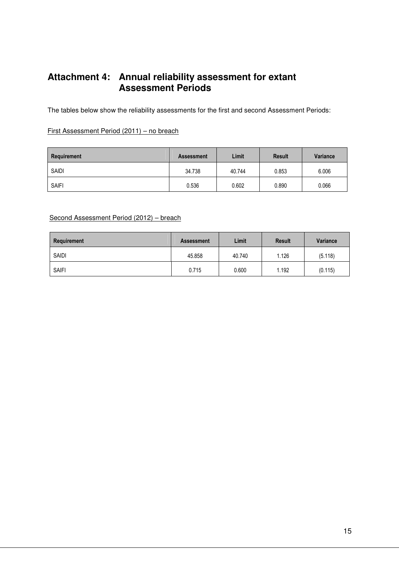# **Attachment 4: Annual reliability assessment for extant Assessment Periods**

The tables below show the reliability assessments for the first and second Assessment Periods:

#### First Assessment Period (2011) – no breach

| Requirement  | <b>Assessment</b> | Limit  | <b>Result</b> | Variance |
|--------------|-------------------|--------|---------------|----------|
| <b>SAIDI</b> | 34.738            | 40.744 | 0.853         | 6.006    |
| <b>SAIFI</b> | 0.536             | 0.602  | 0.890         | 0.066    |

#### Second Assessment Period (2012) – breach

| Requirement  | <b>Assessment</b> | Limit  | <b>Result</b> | Variance |
|--------------|-------------------|--------|---------------|----------|
| <b>SAIDI</b> | 45.858            | 40.740 | 1.126         | (5.118)  |
| <b>SAIFI</b> | 0.715             | 0.600  | 1.192         | (0.115)  |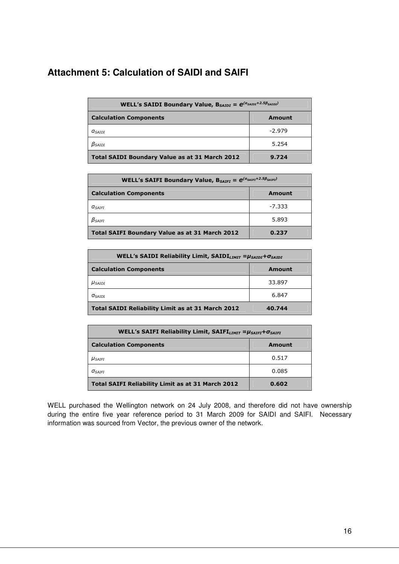# **Attachment 5: Calculation of SAIDI and SAIFI**

| <b>WELL's SAIDI Boundary Value, B</b> SAIDI = $e^{(a_{SAIDI} + 2.5\beta_{SAIDI})}$ |          |  |  |  |
|------------------------------------------------------------------------------------|----------|--|--|--|
| <b>Calculation Components</b><br>Amount                                            |          |  |  |  |
| $a_{satot}$                                                                        | $-2.979$ |  |  |  |
| $\beta_{SAIDI}$                                                                    | 5.254    |  |  |  |
| <b>Total SAIDI Boundary Value as at 31 March 2012</b>                              | 9.724    |  |  |  |

| <b>WELL's SAIFI Boundary Value, B</b> SAIFI = $e^{(a_{\text{SAIFI}}+2.5\beta_{\text{SAIFI}})}$ |          |  |  |  |
|------------------------------------------------------------------------------------------------|----------|--|--|--|
| <b>Calculation Components</b><br>Amount                                                        |          |  |  |  |
| <b>A</b> SAIFI                                                                                 | $-7.333$ |  |  |  |
| $\beta_{\text{SAIFT}}$                                                                         | 5.893    |  |  |  |
| <b>Total SAIFI Boundary Value as at 31 March 2012</b>                                          | 0.237    |  |  |  |

| WELL's SAIDI Reliability Limit, $SAIDILMIT = \mu_{SADI} + \sigma_{SADI}$ |        |  |  |  |
|--------------------------------------------------------------------------|--------|--|--|--|
| <b>Calculation Components</b><br>Amount                                  |        |  |  |  |
| $\mu$ Saidi                                                              | 33.897 |  |  |  |
| $\sigma$ <sub>SAIDI</sub>                                                | 6.847  |  |  |  |
| Total SAIDI Reliability Limit as at 31 March 2012<br>40.744              |        |  |  |  |

| WELL's SAIFI Reliability Limit, SAIFI $_{LIMIT}$ = $\mu_{SAIFI}$ + $\sigma_{SAIFI}$ |               |  |
|-------------------------------------------------------------------------------------|---------------|--|
| <b>Calculation Components</b>                                                       | <b>Amount</b> |  |
| $\mu_{\tiny SAlFI}$                                                                 | 0.517         |  |
| $\sigma_{\text{SAIFT}}$                                                             | 0.085         |  |
| Total SAIFI Reliability Limit as at 31 March 2012                                   | 0.602         |  |

WELL purchased the Wellington network on 24 July 2008, and therefore did not have ownership during the entire five year reference period to 31 March 2009 for SAIDI and SAIFI. Necessary information was sourced from Vector, the previous owner of the network.